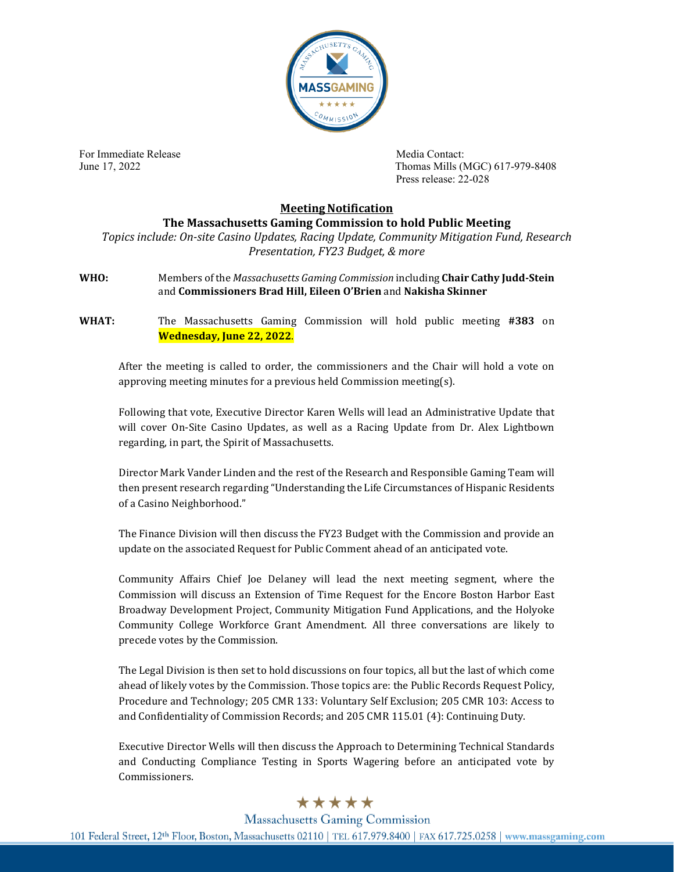

For Immediate Release **Media Contact:** Media Contact:

June 17, 2022 Thomas Mills (MGC) 617-979-8408 Press release: 22-028

## **Meeting Notification**

**The Massachusetts Gaming Commission to hold Public Meeting**

*Topics include: On-site Casino Updates, Racing Update, Community Mitigation Fund, Research Presentation, FY23 Budget, & more*

**WHO:** Members of the *Massachusetts Gaming Commission* including **Chair Cathy Judd-Stein** and **Commissioners Brad Hill, Eileen O'Brien** and **Nakisha Skinner**

**WHAT:** The Massachusetts Gaming Commission will hold public meeting **#383** on **Wednesday, June 22, 2022**.

After the meeting is called to order, the commissioners and the Chair will hold a vote on approving meeting minutes for a previous held Commission meeting(s).

Following that vote, Executive Director Karen Wells will lead an Administrative Update that will cover On-Site Casino Updates, as well as a Racing Update from Dr. Alex Lightbown regarding, in part, the Spirit of Massachusetts.

Director Mark Vander Linden and the rest of the Research and Responsible Gaming Team will then present research regarding "Understanding the Life Circumstances of Hispanic Residents of a Casino Neighborhood."

The Finance Division will then discuss the FY23 Budget with the Commission and provide an update on the associated Request for Public Comment ahead of an anticipated vote.

Community Affairs Chief Joe Delaney will lead the next meeting segment, where the Commission will discuss an Extension of Time Request for the Encore Boston Harbor East Broadway Development Project, Community Mitigation Fund Applications, and the Holyoke Community College Workforce Grant Amendment. All three conversations are likely to precede votes by the Commission.

The Legal Division is then set to hold discussions on four topics, all but the last of which come ahead of likely votes by the Commission. Those topics are: the Public Records Request Policy, Procedure and Technology; 205 CMR 133: Voluntary Self Exclusion; 205 CMR 103: Access to and Confidentiality of Commission Records; and 205 CMR 115.01 (4): Continuing Duty.

Executive Director Wells will then discuss the Approach to Determining Technical Standards and Conducting Compliance Testing in Sports Wagering before an anticipated vote by Commissioners.

## \*\*\*\*\*

**Massachusetts Gaming Commission** 101 Federal Street, 12th Floor, Boston, Massachusetts 02110 | TEL 617.979.8400 | FAX 617.725.0258 | www.massgaming.com